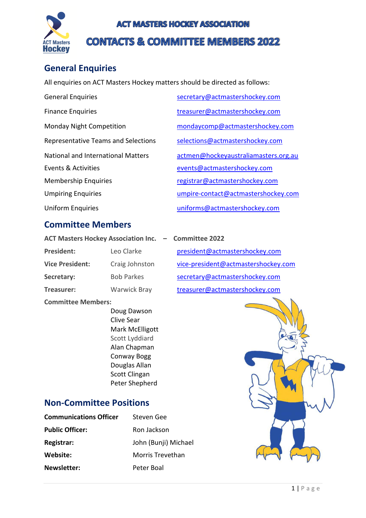

### **ACT MASTERS HOCKEY ASSOCIATION**

# **CONTACTS & COMMITTEE MEMBERS 2022**

# **General Enquiries**

All enquiries on ACT Masters Hockey matters should be directed as follows:

General Enquiries [secretary@actmastershockey.com](mailto:secretary@actmastershockey.com) Finance Enquiries [treasurer@actmastershockey.com](mailto:treasurer@actmastershockey.com) Events & Activities [events@actmastershockey.com](mailto:events@actmastershockey.com) Membership Enquiries [registrar@actmastershockey.com](mailto:registrar@actmastershockey.com)

### **Committee Members**

- **ACT Masters Hockey Association Inc. – Committee 2022** President: Leo Clarke [president@actmastershockey.com](mailto:president@actmastershockey.com)
- **Treasurer:** Warwick Bray [treasurer@actmastershockey.com](mailto:treasurer@actmastershockey.com)

**Committee Members:**

Doug Dawson Clive Sear Mark McElligott Scott Lyddiard Alan Chapman Conway Bogg Douglas Allan Scott Clingan Peter Shepherd

### **Non-Committee Positions**

| <b>Communications Officer</b> | Steven Gee           |
|-------------------------------|----------------------|
| <b>Public Officer:</b>        | Ron Jackson          |
| Registrar:                    | John (Bunji) Michael |
| Website:                      | Morris Trevethan     |
| <b>Newsletter:</b>            | Peter Boal           |

Monday Night Competition [mondaycomp@actmastershockey.com](mailto:mondaycomp@actmastershockey.com) Representative Teams and Selections [selections@actmastershockey.com](mailto:selections@actmastershockey.com) National and International Matters [actmen@hockeyaustraliamasters.org.au](mailto:actmen@hockeyaustraliamasters.org.au) Umpiring Enquiries [umpire-contact@actmastershockey.com](mailto:umpire-contact@actmastershockey.com)

Uniform Enquiries [uniforms@actmastershockey.com](mailto:uniforms@actmastershockey.com)

Vice President: Craig Johnston [vice-president@actmastershockey.com](mailto:vice-president@actmastershockey.com) Secretary: Bob Parkes [secretary@actmastershockey.com](mailto:secretary@actmastershockey.com)